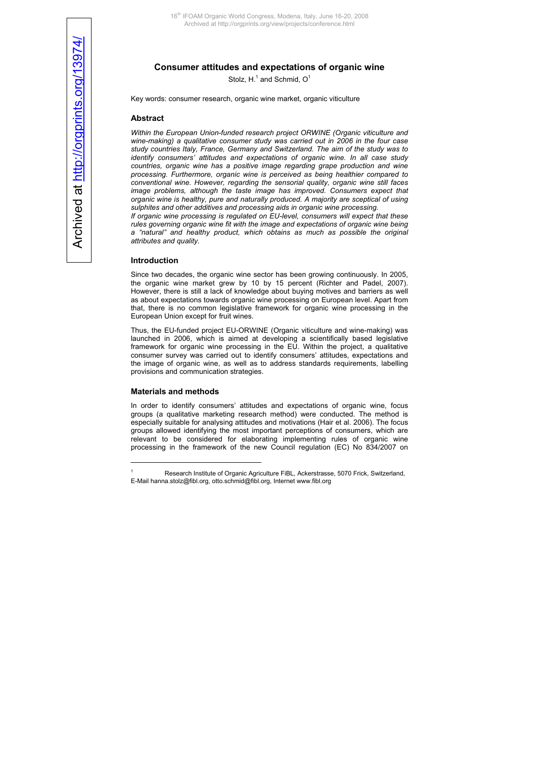# **Consumer attitudes and expectations of organic wine**

Stolz, H. $^1$  and Schmid, O $^1$ 

Key words: consumer research, organic wine market, organic viticulture

## **Abstract**

*Within the European Union-funded rese[arc](#page-0-0)h project ORWINE (Organic viticulture and wine-making) a qualitative consumer study was carried out in 2006 in the four case study countries Italy, France, Germany and Switzerland. The aim of the study was to identify consumers' attitudes and expectations of organic wine. In all case study countries, organic wine has a positive image regarding grape production and wine processing. Furthermore, organic wine is perceived as being healthier compared to conventional wine. However, regarding the sensorial quality, organic wine still faces*  image problems, although the taste image has improved. Consumers expect that *organic wine is healthy, pure and naturally produced. A majority are sceptical of using sulphites and other additives and processing aids in organic wine processing.* 

*If organic wine processing is regulated on EU-level, consumers will expect that these rules governing organic wine fit with the image and expectations of organic wine being a "natural" and healthy product, which obtains as much as possible the original attributes and quality.*

#### **Introduction**

Since two decades, the organic wine sector has been growing continuously. In 2005, the organic wine market grew by 10 by 15 percent (Richter and Padel, 2007). However, there is still a lack of knowledge about buying motives and barriers as well as about expectations towards organic wine processing on European level. Apart from that, there is no common legislative framework for organic wine processing in the European Union except for fruit wines.

Thus, the EU-funded project EU-ORWINE (Organic viticulture and wine-making) was launched in 2006, which is aimed at developing a scientifically based legislative framework for organic wine processing in the EU. Within the project, a qualitative consumer survey was carried out to identify consumers' attitudes, expectations and the image of organic wine, as well as to address standards requirements, labelling provisions and communication strategies.

## **Materials and methods**

 $\overline{a}$ 

In order to identify consumers' attitudes and expectations of organic wine, focus groups (a qualitative marketing research method) were conducted. The method is especially suitable for analysing attitudes and motivations (Hair et al. 2006). The focus groups allowed identifying the most important perceptions of consumers, which are relevant to be considered for elaborating implementing rules of organic wine processing in the framework of the new Council regulation (EC) No 834/2007 on

<span id="page-0-0"></span><sup>1</sup> Research Institute of Organic Agriculture FiBL, Ackerstrasse, 5070 Frick, Switzerland, E-Mail [hanna.stolz@fibl.org](mailto:hanna.stolz@fibl.org), [otto.schmid@fibl.org,](mailto:otto.schmid@fibl.org) Internet www.fibl.org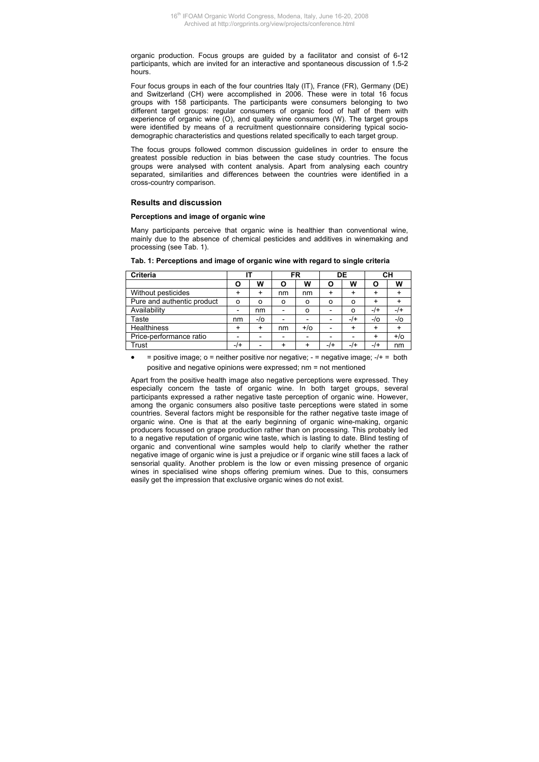organic production. Focus groups are guided by a facilitator and consist of 6-12 participants, which are invited for an interactive and spontaneous discussion of 1.5-2 hours.

Four focus groups in each of the four countries Italy (IT), France (FR), Germany (DE) and Switzerland (CH) were accomplished in 2006. These were in total 16 focus groups with 158 participants. The participants were consumers belonging to two different target groups: regular consumers of organic food of half of them with experience of organic wine (O), and quality wine consumers (W). The target groups were identified by means of a recruitment questionnaire considering typical sociodemographic characteristics and questions related specifically to each target group.

The focus groups followed common discussion guidelines in order to ensure the greatest possible reduction in bias between the case study countries. The focus groups were analysed with content analysis. Apart from analysing each country separated, similarities and differences between the countries were identified in a cross-country comparison.

# **Results and discussion**

# **Perceptions and image of organic wine**

Many participants perceive that organic wine is healthier than conventional wine, mainly due to the absence of chemical pesticides and additives in winemaking and processing (see Tab. 1).

| <b>Criteria</b>            |                          |                          | FR                       |       | DE                       |                          | CН  |       |
|----------------------------|--------------------------|--------------------------|--------------------------|-------|--------------------------|--------------------------|-----|-------|
|                            |                          | w                        | O                        | w     | O                        | w                        | О   | w     |
| Without pesticides         |                          | +                        | nm                       | nm    | +                        | +                        |     |       |
| Pure and authentic product | o                        | ο                        | o                        | o     | O                        | o                        |     |       |
| Availability               |                          | nm                       |                          | o     | $\overline{\phantom{0}}$ | ο                        | -/+ | -/+   |
| Taste                      | nm                       | -/0                      |                          |       | $\overline{\phantom{a}}$ | -/+                      | -/0 | -/0   |
| <b>Healthiness</b>         | +                        | +                        | nm                       | $+/-$ | $\overline{\phantom{0}}$ | +                        |     |       |
| Price-performance ratio    | $\overline{\phantom{a}}$ | $\overline{\phantom{a}}$ | $\overline{\phantom{a}}$ | -     | $\overline{\phantom{0}}$ | $\overline{\phantom{a}}$ |     | $+/-$ |
| Trust                      | -/+                      |                          |                          |       | $-$ /+                   | $-1+$                    | -/+ | nm    |

**Tab. 1: Perceptions and image of organic wine with regard to single criteria** 

 $=$  positive image; o  $=$  neither positive nor negative;  $-$  = negative image;  $-$ / $+$  = both positive and negative opinions were expressed; nm = not mentioned

Apart from the positive health image also negative perceptions were expressed. They especially concern the taste of organic wine. In both target groups, several participants expressed a rather negative taste perception of organic wine. However, among the organic consumers also positive taste perceptions were stated in some countries. Several factors might be responsible for the rather negative taste image of organic wine. One is that at the early beginning of organic wine-making, organic producers focussed on grape production rather than on processing. This probably led to a negative reputation of organic wine taste, which is lasting to date. Blind testing of organic and conventional wine samples would help to clarify whether the rather negative image of organic wine is just a prejudice or if organic wine still faces a lack of sensorial quality. Another problem is the low or even missing presence of organic wines in specialised wine shops offering premium wines. Due to this, consumers easily get the impression that exclusive organic wines do not exist.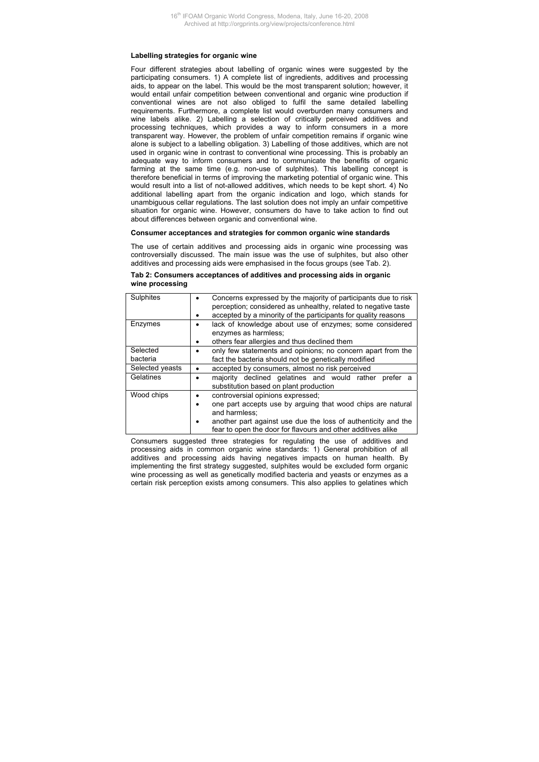#### **Labelling strategies for organic wine**

Four different strategies about labelling of organic wines were suggested by the participating consumers. 1) A complete list of ingredients, additives and processing aids, to appear on the label. This would be the most transparent solution; however, it would entail unfair competition between conventional and organic wine production if conventional wines are not also obliged to fulfil the same detailed labelling requirements. Furthermore, a complete list would overburden many consumers and wine labels alike. 2) Labelling a selection of critically perceived additives and processing techniques, which provides a way to inform consumers in a more transparent way. However, the problem of unfair competition remains if organic wine alone is subject to a labelling obligation. 3) Labelling of those additives, which are not used in organic wine in contrast to conventional wine processing. This is probably an adequate way to inform consumers and to communicate the benefits of organic farming at the same time (e.g. non-use of sulphites). This labelling concept is therefore beneficial in terms of improving the marketing potential of organic wine. This would result into a list of not-allowed additives, which needs to be kept short. 4) No additional labelling apart from the organic indication and logo, which stands for unambiguous cellar regulations. The last solution does not imply an unfair competitive situation for organic wine. However, consumers do have to take action to find out about differences between organic and conventional wine.

## **Consumer acceptances and strategies for common organic wine standards**

The use of certain additives and processing aids in organic wine processing was controversially discussed. The main issue was the use of sulphites, but also other additives and processing aids were emphasised in the focus groups (see Tab. 2).

# **Tab 2: Consumers acceptances of additives and processing aids in organic wine processing**

| Sulphites       | Concerns expressed by the majority of participants due to risk<br>perception; considered as unhealthy, related to negative taste |  |  |  |  |  |  |
|-----------------|----------------------------------------------------------------------------------------------------------------------------------|--|--|--|--|--|--|
|                 | accepted by a minority of the participants for quality reasons                                                                   |  |  |  |  |  |  |
| Enzymes         | lack of knowledge about use of enzymes; some considered                                                                          |  |  |  |  |  |  |
|                 | enzymes as harmless:                                                                                                             |  |  |  |  |  |  |
|                 | others fear allergies and thus declined them                                                                                     |  |  |  |  |  |  |
| Selected        | only few statements and opinions; no concern apart from the                                                                      |  |  |  |  |  |  |
| bacteria        | fact the bacteria should not be genetically modified                                                                             |  |  |  |  |  |  |
| Selected yeasts | accepted by consumers, almost no risk perceived                                                                                  |  |  |  |  |  |  |
| Gelatines       | majority declined gelatines and would rather<br>prefer a<br>substitution based on plant production                               |  |  |  |  |  |  |
| Wood chips      | controversial opinions expressed;                                                                                                |  |  |  |  |  |  |
|                 | one part accepts use by arguing that wood chips are natural                                                                      |  |  |  |  |  |  |
|                 | and harmless:                                                                                                                    |  |  |  |  |  |  |
|                 | another part against use due the loss of authenticity and the<br>fear to open the door for flavours and other additives alike    |  |  |  |  |  |  |

Consumers suggested three strategies for regulating the use of additives and processing aids in common organic wine standards: 1) General prohibition of all additives and processing aids having negatives impacts on human health. By implementing the first strategy suggested, sulphites would be excluded form organic wine processing as well as genetically modified bacteria and yeasts or enzymes as a certain risk perception exists among consumers. This also applies to gelatines which